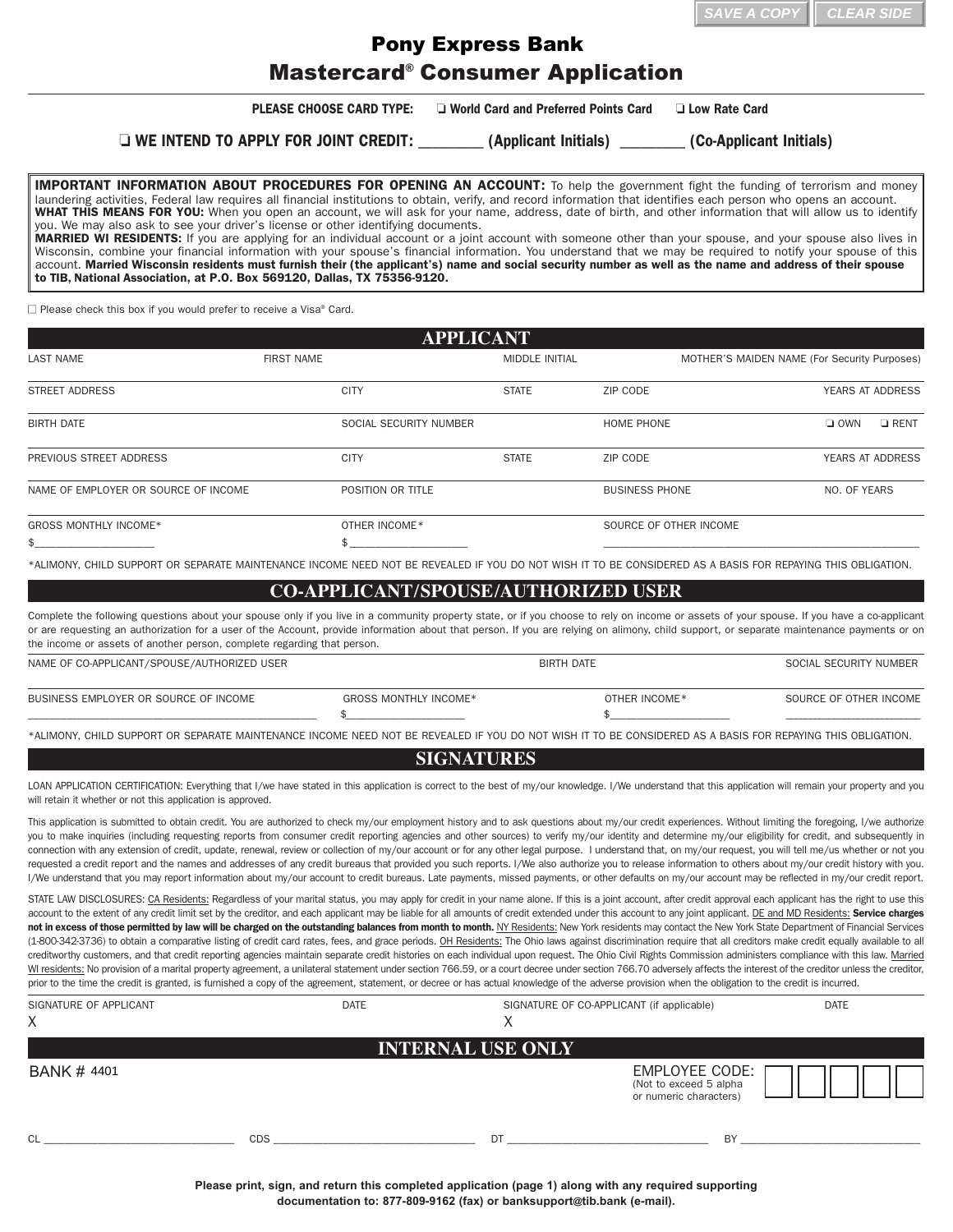| $\parallel$ SAVE A COPY $\parallel$ CLEAR SIDE |  |
|------------------------------------------------|--|
|------------------------------------------------|--|

## Mastercard® Consumer Application Pony Express Bank

**PLEASE CHOOSE CARD TYPE:**  $\Box$  World Card and Preferred Points Card  $\Box$  Low Rate Card

o **WE INTEND TO APPLY FOR JOINT CREDIT:** \_\_\_\_\_\_\_\_\_ **(Applicant Initials)** \_\_\_\_\_\_\_\_\_ **(CoApplicant Initials)**

**IMPORTANT INFORMATION ABOUT PROCEDURES FOR OPENING AN ACCOUNT:** To help the government fight the funding of terrorism and money laundering activities, Federal law requires all financial institutions to obtain, verify, and record information that identifies each person who opens an account. **WHAT THIS MEANS FOR YOU:** When you open an account, we will ask for your name, address, date of birth, and other information that will allow us to identify you. We may also ask to see your driver's license or other identifying documents. **MARRIED WI RESIDENTS:** If you are applying for an individual account or a joint account with someone other than your spouse, and your spouse also lives in Wisconsin, combine your financial information with your spouse's financial information. You understand that we may be required to notify your spouse of this account. **Married Wisconsin residents must furnish their (the applicant's) name and social security number as well as the name and address of their spouse to** TIB, National Association**, at P.O. Box 569120, Dallas, TX 753569120.**

 $\Box$  Please check this box if you would prefer to receive a Visa® Card.

| <b>APPLICANT</b>                     |                        |                       |                        |                                              |
|--------------------------------------|------------------------|-----------------------|------------------------|----------------------------------------------|
| <b>LAST NAME</b>                     | <b>FIRST NAME</b>      | <b>MIDDLE INITIAL</b> |                        | MOTHER'S MAIDEN NAME (For Security Purposes) |
| <b>STREET ADDRESS</b>                | <b>CITY</b>            | <b>STATE</b>          | ZIP CODE               | <b>YEARS AT ADDRESS</b>                      |
| <b>BIRTH DATE</b>                    | SOCIAL SECURITY NUMBER |                       | HOME PHONE             | $\Box$ OWN<br>$\Box$ RENT                    |
| PREVIOUS STREET ADDRESS              | <b>CITY</b>            | <b>STATE</b>          | ZIP CODE               | <b>YEARS AT ADDRESS</b>                      |
| NAME OF EMPLOYER OR SOURCE OF INCOME | POSITION OR TITLE      |                       | <b>BUSINESS PHONE</b>  | NO. OF YEARS                                 |
| <b>GROSS MONTHLY INCOME*</b>         | OTHER INCOME*          |                       | SOURCE OF OTHER INCOME |                                              |
|                                      |                        |                       |                        |                                              |

\*ALIMONY, CHILD SUPPORT OR SEPARATE MAINTENANCE INCOME NEED NOT BE REVEALED IF YOU DO NOT WISH IT TO BE CONSIDERED AS A BASIS FOR REPAYING THIS OBLIGATION.

## **COAPPLICANT/SPOUSE/AUTHORIZED USER**

Complete the following questions about your spouse only if you live in a community property state, or if you choose to rely on income or assets of your spouse. If you have a co-applicant or are requesting an authorization for a user of the Account, provide information about that person. If you are relying on alimony, child support, or separate maintenance payments or on the income or assets of another person, complete regarding that person.

| NAME OF CO-APPLICANT/SPOUSE/AUTHORIZED USER |                       | <b>BIRTH DATE</b> |               | SOCIAL SECURITY NUMBER |
|---------------------------------------------|-----------------------|-------------------|---------------|------------------------|
| BUSINESS EMPLOYER OR SOURCE OF INCOME       | GROSS MONTHLY INCOME* |                   | OTHER INCOME* | SOURCE OF OTHER INCOME |
|                                             |                       |                   |               |                        |

\*ALIMONY, CHILD SUPPORT OR SEPARATE MAINTENANCE INCOME NEED NOT BE REVEALED IF YOU DO NOT WISH IT TO BE CONSIDERED AS A BASIS FOR REPAYING THIS OBLIGATION.

## **SIGNATURES**

LOAN APPLICATION CERTIFICATION: Everything that I/we have stated in this application is correct to the best of my/our knowledge. I/We understand that this application will remain your property and you will retain it whether or not this application is approved.

This application is submitted to obtain credit. You are authorized to check my/our employment history and to ask questions about my/our credit experiences. Without limiting the foregoing, I/we authorize you to make inquiries (including requesting reports from consumer credit reporting agencies and other sources) to verify my/our identity and determine my/our eligibility for credit, and subsequently in connection with any extension of credit, update, renewal, review or collection of my/our account or for any other legal purpose. I understand that, on my/our request, you will tell me/us whether or not you requested a credit report and the names and addresses of any credit bureaus that provided you such reports. I/We also authorize you to release information to others about my/our credit history with you. I/We understand that you may report information about my/our account to credit bureaus. Late payments, missed payments, or other defaults on my/our account may be reflected in my/our credit report.

STATE LAW DISCLOSURES: CA Residents: Regardless of your marital status, you may apply for credit in your name alone. If this is a joint account, after credit approval each applicant has the right to use this account to the extent of any credit limit set by the creditor, and each applicant may be liable for all amounts of credit extended under this account to any joint applicant. DE and MD Residents: **Service charges** not in excess of those permitted by law will be charged on the outstanding balances from month to month. NY Residents: New York residents may contact the New York State Department of Financial Services (18003423736) to obtain a comparative listing of credit card rates, fees, and grace periods. OH Residents: The Ohio laws against discrimination require that all creditors make credit equally available to all creditworthy customers, and that credit reporting agencies maintain separate credit histories on each individual upon request. The Ohio Civil Rights Commission administers compliance with this law. Married WI residents: No provision of a marital property agreement, a unilateral statement under section 766.59, or a court decree under section 766.70 adversely affects the interest of the creditor unless the creditor, prior to the time the credit is granted, is furnished a copy of the agreement, statement, or decree or has actual knowledge of the adverse provision when the obligation to the credit is incurred.

| SIGNATURE OF APPLICANT<br>X | <b>DATE</b> | SIGNATURE OF CO-APPLICANT (if applicable)<br>∧ |                                                                    | <b>DATE</b> |
|-----------------------------|-------------|------------------------------------------------|--------------------------------------------------------------------|-------------|
|                             |             | <b>INTERNAL USE ONLY</b>                       |                                                                    |             |
| <b>BANK # 4401</b>          |             |                                                | EMPLOYEE CODE:<br>(Not to exceed 5 alpha<br>or numeric characters) |             |
| <sub>Cl</sub><br><b>CDS</b> |             | DT                                             | BY                                                                 |             |

**Please print, sign, and return this completed application (page 1) along with any required supporting documentation to: 8778099162 (fax) or [banksupport@](mailto:banksupport@tib.bank)tib.bank (email).**